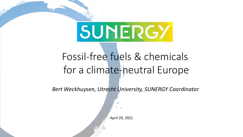# SUNERGY

# Fossil-free fuels & chemicals for a climate-neutral Europe

*Bert Weckhuysen, Utrecht University, SUNERGY Coordinator*

April 29, 2021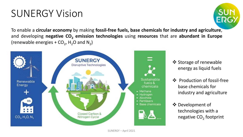## SUNERGY Vision



To enable a **circular economy** by making **fossil-free fuels, base chemicals for industry and agriculture**, and developing **negative CO<sup>2</sup> emission technologies** using **resources** that are **abundant in Europe** (renewable energies  $+$  CO<sub>2</sub>, H<sub>2</sub>O and N<sub>2</sub>)



- ❖ Storage of renewable energy as liquid fuels
- ❖ Production of fossil-free base chemicals for industry and agriculture
- ❖ Development of technologies with a negative CO<sub>2</sub> footprint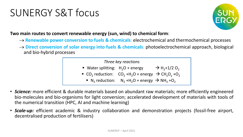## SUNERGY S&T focus



**Two main routes to convert renewable energy (sun, wind) to chemical form**:

- → **Renewable power conversion to fuels & chemicals**: electrochemical and thermochemical processes
- → **Direct conversion of solar energy into fuels & chemicals**: photoelectrochemical approach, biological and bio-hybrid processes



- *Science:* more efficient & durable materials based on abundant raw materials; more efficiently engineered bio-molecules and bio-organisms for light conversion; accelerated development of materials with tools of the numerical transition (HPC, AI and machine learning)
- *Scale-up:* efficient academic & industry collaboration and demonstration projects (fossil-free airport, decentralised production of fertilisers)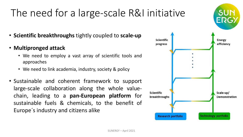# The need for a large-scale R&I initiative

- **Scientific breakthroughs** tightly coupled to **scale-up**
- **Multipronged attack**
	- We need to employ a vast array of scientific tools and approaches
	- We need to link academia, industry, society & policy
- Sustainable and coherent framework to support large-scale collaboration along the whole valuechain, leading to a **pan-European platform** for sustainable fuels & chemicals, to the benefit of Europe´s industry and citizens alike

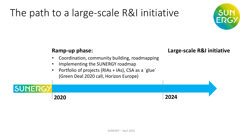# The path to a large-scale R&I initiative



#### **Ramp-up phase: Large-scale R&I initiative** • Coordination, community building, roadmapping • Implementing the SUNERGY roadmap • Portfolio of projects (RIAs + IAs), CSA as a 'glue' (Green Deal 2020 call, Horizon Europe) **SUNERG 2024 2020**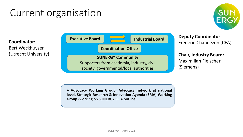### Current organisation



**Coordinator:** Bert Weckhuysen (Utrecht University)



**Deputy Coordinator:** Frédéric Chandezon (CEA)

**Chair, Industry Board:** Maximilian Fleischer (Siemens)

**+ Advocacy Working Group, Advocacy network at national level, Strategic Research & Innovation Agenda (SRIA) Working Group** (working on SUNERGY SRIA outline)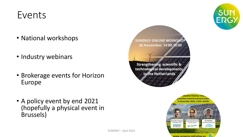### Events

- National workshops
- Industry webinars
- Brokerage events for Horizon Europe
- A policy event by end 2021 (hopefully a physical event in Brussels)







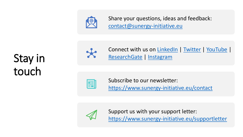

Share your questions, ideas and feedback: [contact@sunergy-initiative.eu](mailto:contact@sunergy-initiative.eu)

# Stay in touch





Subscribe to our newsletter: <https://www.sunergy-initiative.eu/contact>



Support us with your support letter: <https://www.sunergy-initiative.eu/supportletter>